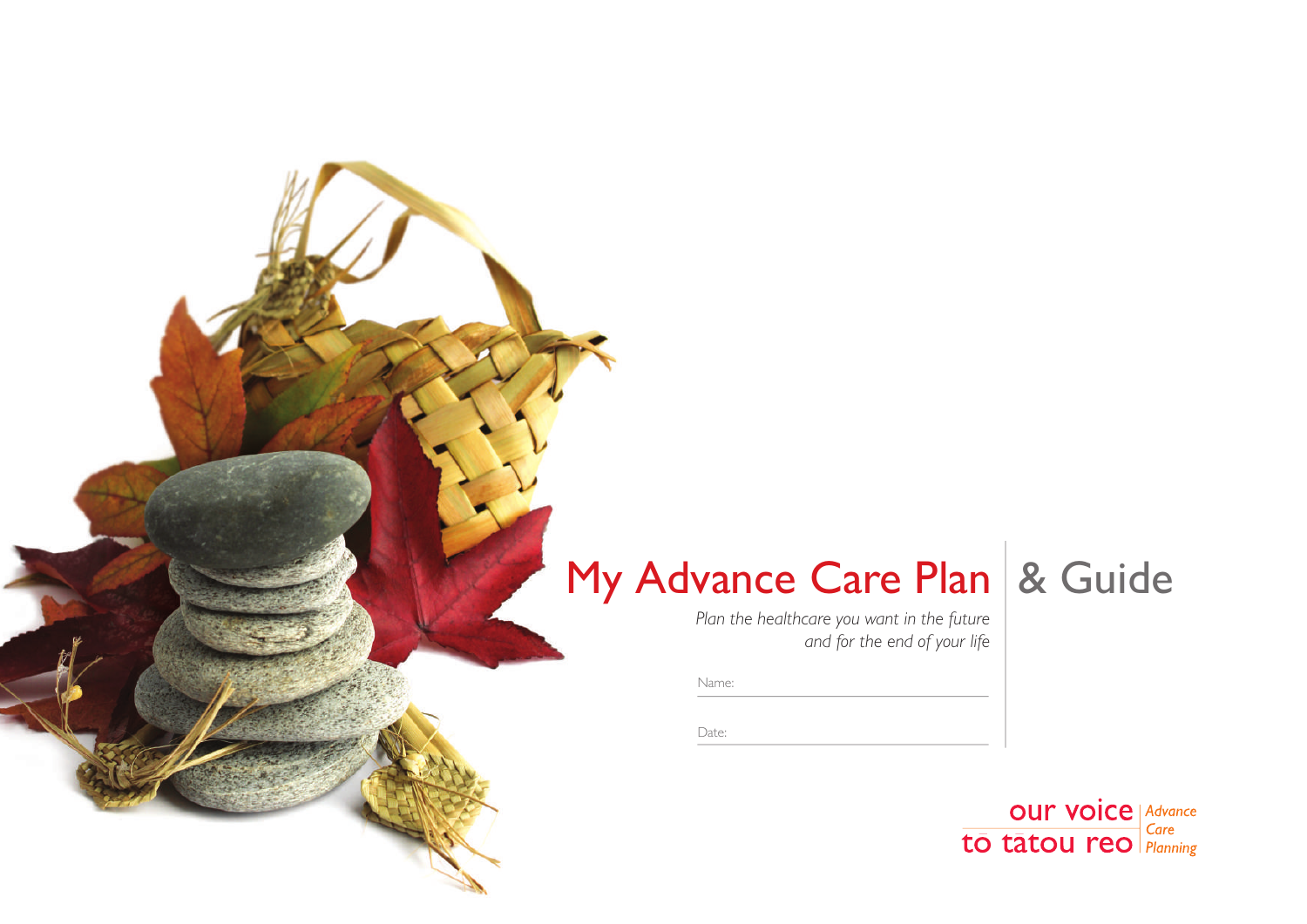# My Advance Care Plan & Guide

*Plan the healthcare you want in the future and for the end of your life*

Name:

Date:

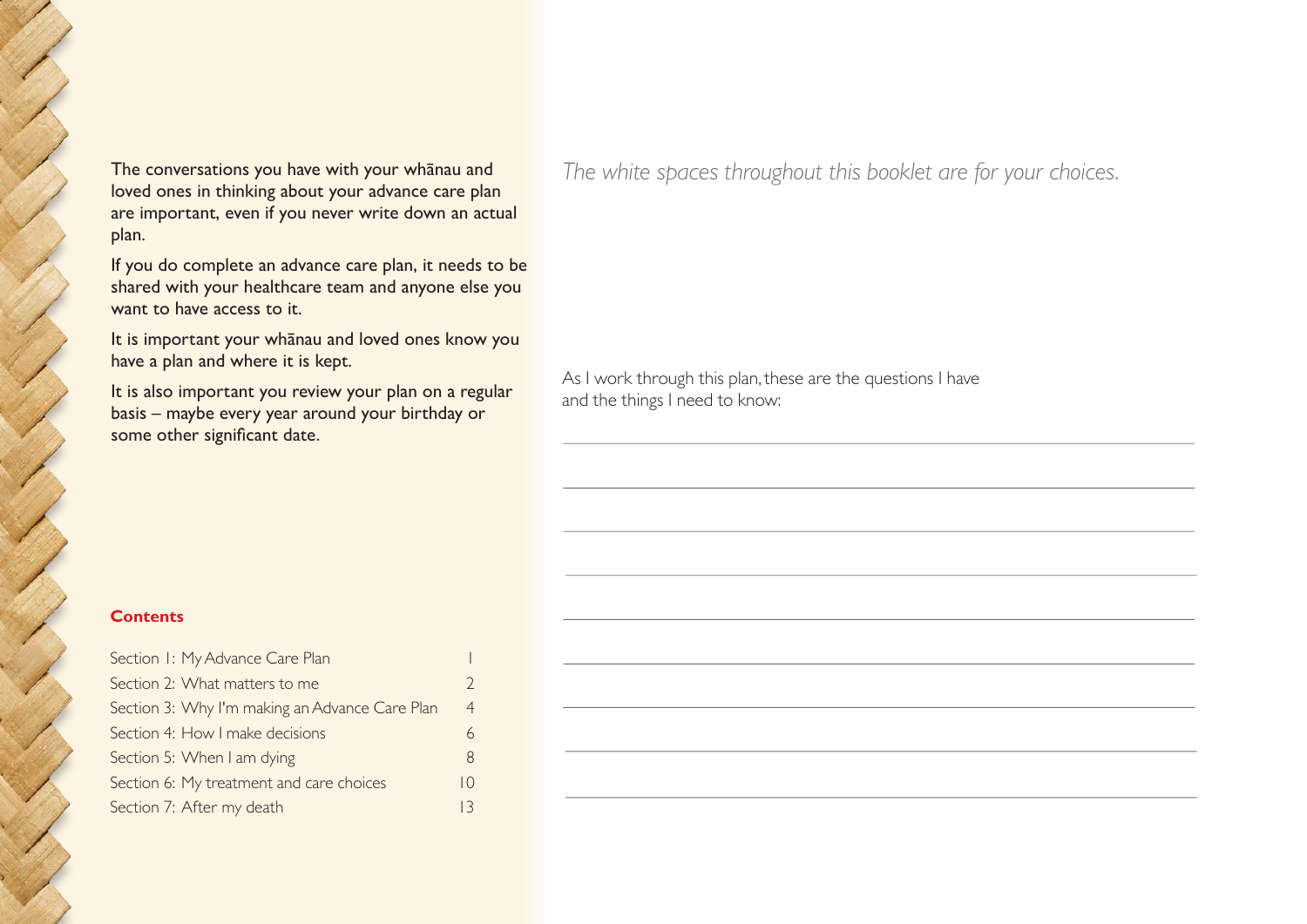The conversations you have with your whānau and loved ones in thinking about your advance care plan are important, even if you never write down an actual plan.

If you do complete an advance care plan, it needs to be shared with your healthcare team and anyone else you want to have access to it.

It is important your whānau and loved ones know you have a plan and where it is kept.

It is also important you review your plan on a regular basis – maybe every year around your birthday or some other significant date.

*The white spaces throughout this booklet are for your choices.*

As I work through this plan, these are the questions I have and the things I need to know:

#### **Contents**

| Section I: My Advance Care Plan                |                 |
|------------------------------------------------|-----------------|
| Section 2: What matters to me                  | $\mathcal{D}$   |
| Section 3: Why I'm making an Advance Care Plan | $\overline{4}$  |
| Section 4: How I make decisions                |                 |
| Section 5: When I am dying                     | 8               |
| Section 6: My treatment and care choices       | $\overline{10}$ |
| Section 7: After my death                      |                 |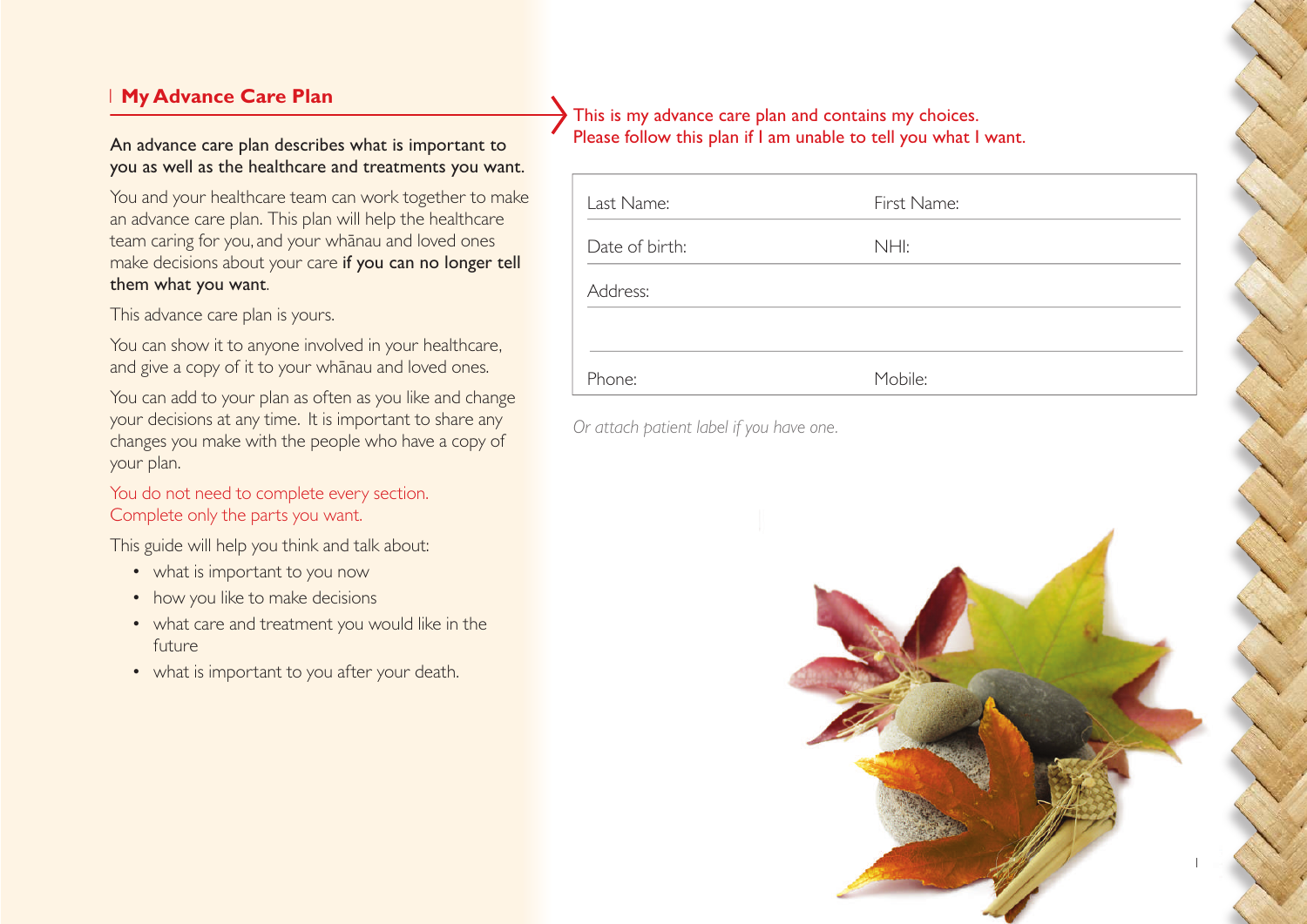# 1 **My Advance Care Plan**

#### An advance care plan describes what is important to you as well as the healthcare and treatments you want.

You and your healthcare team can work together to make an advance care plan. This plan will help the healthcare team caring for you, and your whānau and loved ones make decisions about your care if you can no longer tell them what you want.

This advance care plan is yours.

You can show it to anyone involved in your healthcare, and give a copy of it to your whānau and loved ones.

You can add to your plan as often as you like and change your decisions at any time. It is important to share any changes you make with the people who have a copy of your plan.

You do not need to complete every section. Complete only the parts you want.

This guide will help you think and talk about:

- what is important to you now
- how you like to make decisions
- what care and treatment you would like in the future
- what is important to you after your death.

This is my advance care plan and contains my choices. Please follow this plan if I am unable to tell you what I want.

| Last Name:     | First Name: |
|----------------|-------------|
| Date of birth: | NHI:        |
| Address:       |             |
|                |             |
| Phone:         | Mobile:     |

*Or attach patient label if you have one.*

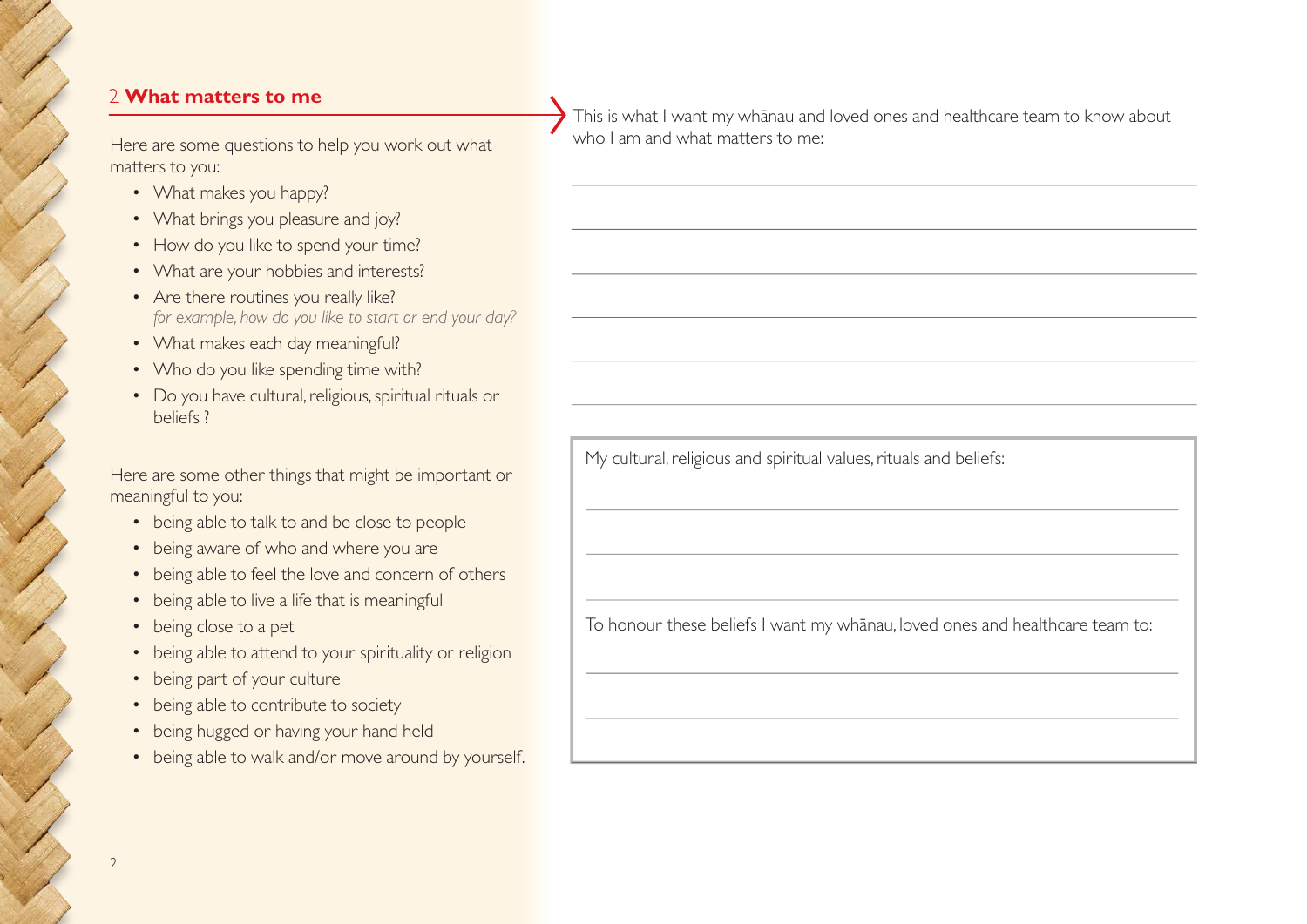#### 2 **What matters to me**

Here are some questions to help you work out what matters to you:

- What makes you happy?
- What brings you pleasure and joy?
- How do you like to spend your time?
- What are your hobbies and interests?
- Are there routines you really like? *for example, how do you like to start or end your day?*
- What makes each day meaningful?
- Who do you like spending time with?
- Do you have cultural, religious, spiritual rituals or beliefs ?

Here are some other things that might be important or meaningful to you:

- being able to talk to and be close to people
- being aware of who and where you are
- being able to feel the love and concern of others
- being able to live a life that is meaningful
- being close to a pet
- being able to attend to your spirituality or religion
- being part of your culture
- being able to contribute to society
- being hugged or having your hand held
- being able to walk and/or move around by yourself.

This is what I want my whānau and loved ones and healthcare team to know about who I am and what matters to me:

My cultural, religious and spiritual values, rituals and beliefs:

To honour these beliefs I want my whānau, loved ones and healthcare team to: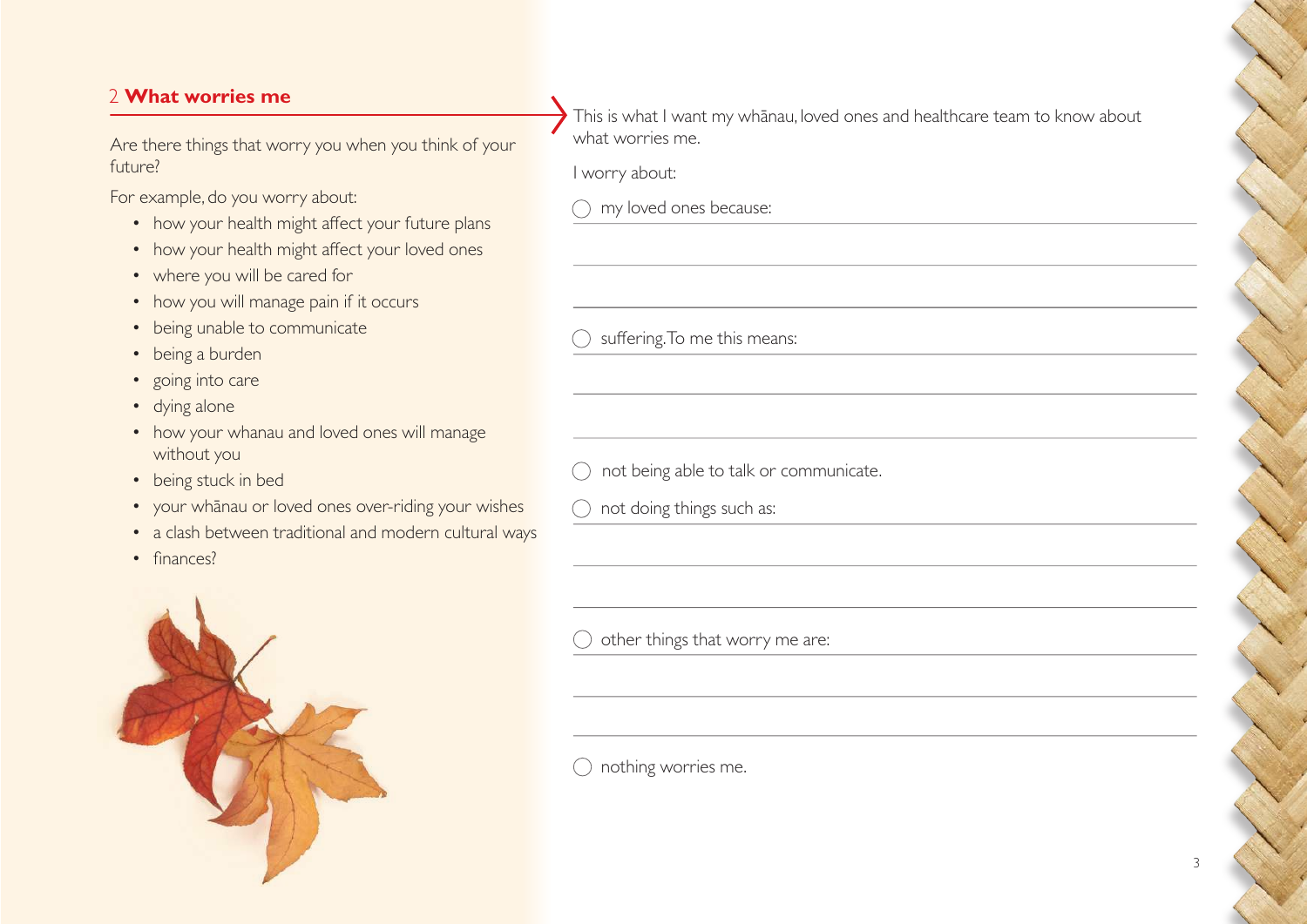# 2 **What worries me**

Are there things that worry you when you think of your future?

For example, do you worry about:

- how your health might affect your future plans
- how your health might affect your loved ones
- where you will be cared for
- how you will manage pain if it occurs
- being unable to communicate
- being a burden
- going into care
- dying alone
- how your whanau and loved ones will manage without you
- being stuck in bed
- your whānau or loved ones over-riding your wishes
- a clash between traditional and modern cultural ways
- finances?



This is what I want my whānau, loved ones and healthcare team to know about what worries me.

I worry about:

my loved ones because:

 $\bigcirc$  suffering. To me this means:

not being able to talk or communicate.

 $\bigcap$  not doing things such as:

other things that worry me are:

 $\bigcirc$  nothing worries me.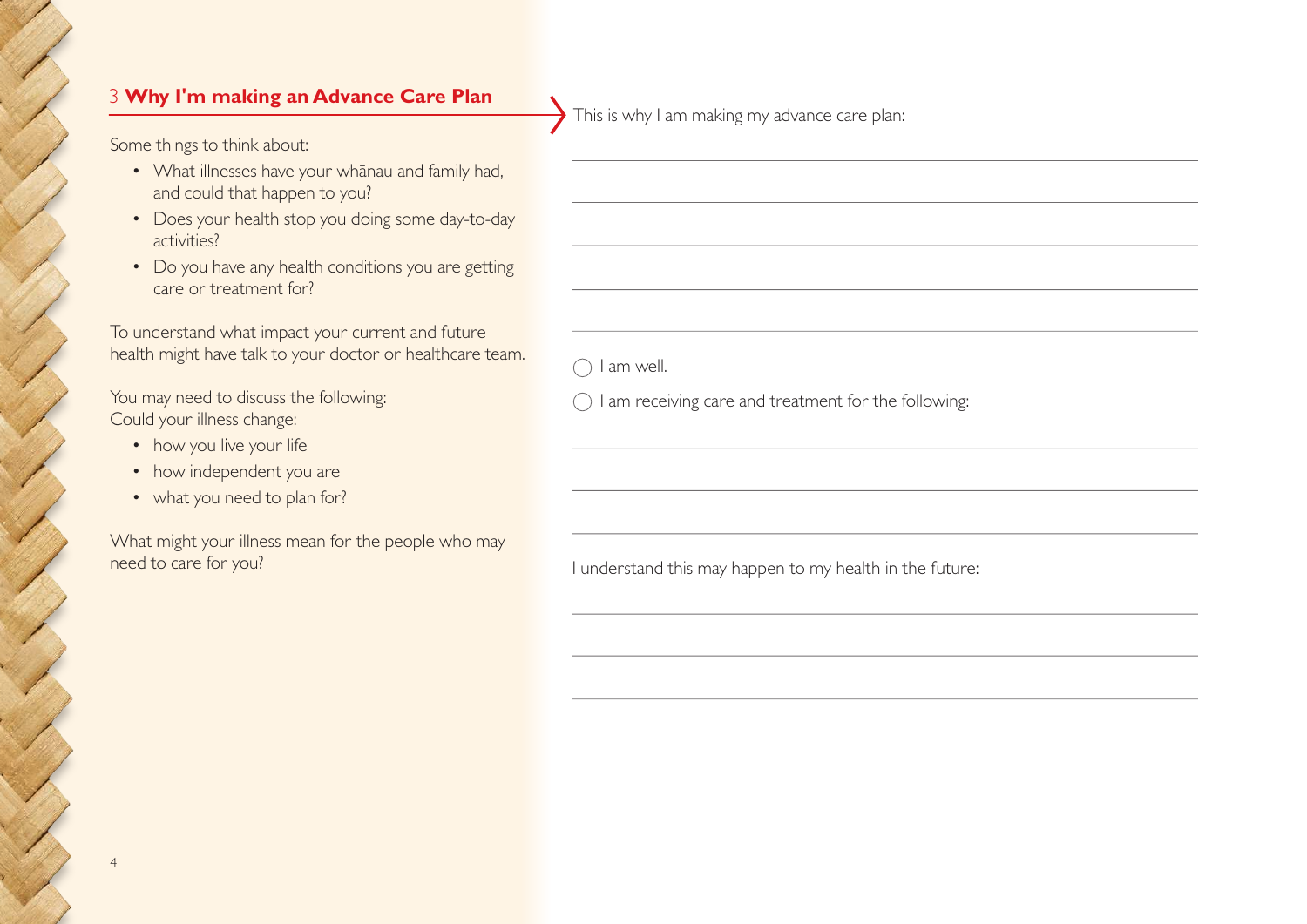# 3 **Why I'm making an Advance Care Plan**

Some things to think about:

- What illnesses have your whānau and family had, and could that happen to you?
- Does your health stop you doing some day-to-day activities?
- Do you have any health conditions you are getting care or treatment for?

To understand what impact your current and future health might have talk to your doctor or healthcare team.

You may need to discuss the following: Could your illness change:

• how you live your life

4

- how independent you are
- what you need to plan for?

What might your illness mean for the people who may need to care for you?

This is why I am making my advance care plan:

I am well.

 $\bigcirc$  I am receiving care and treatment for the following:

I understand this may happen to my health in the future: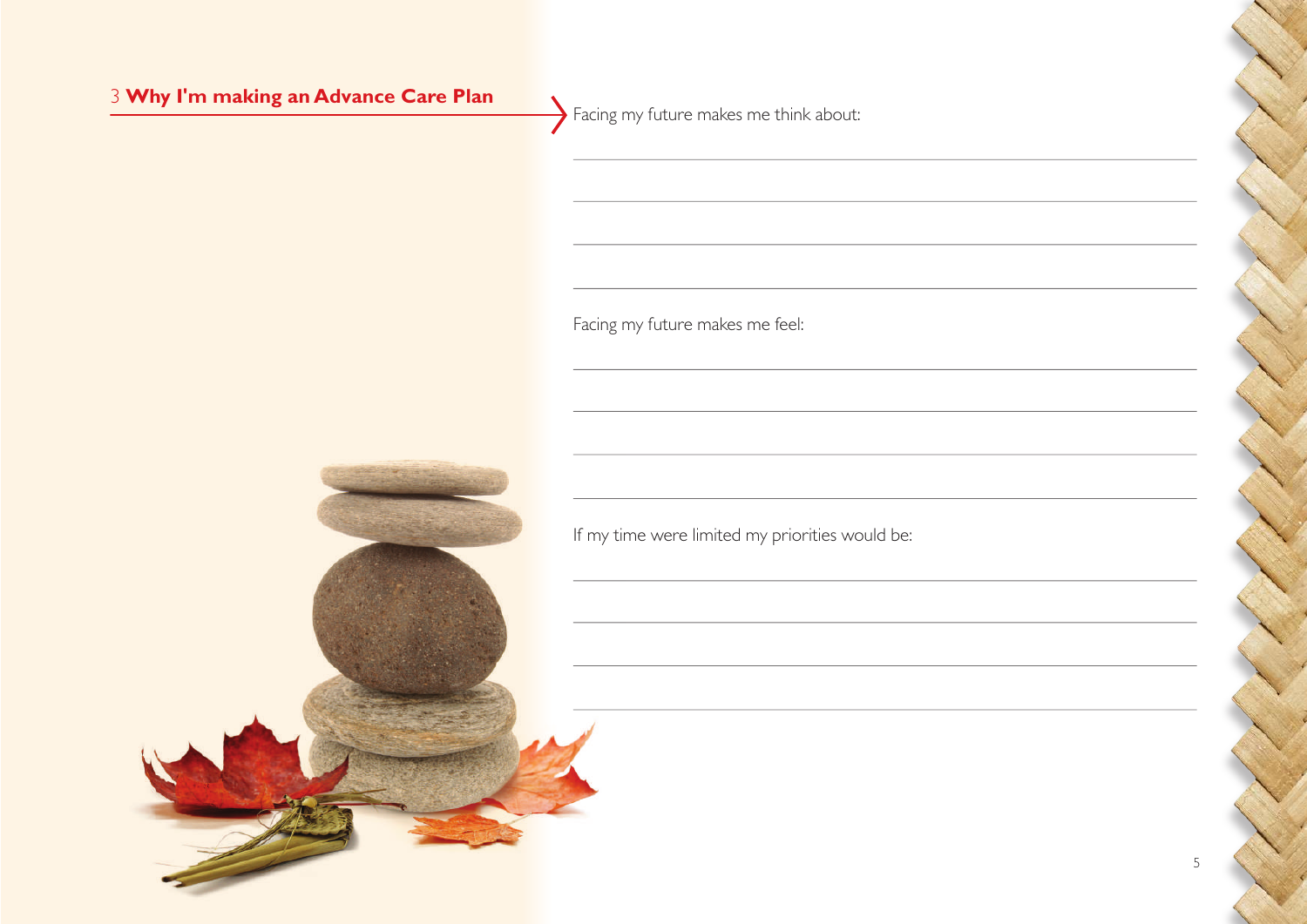# 3 **Why I'm making an Advance Care Plan** Facing my future makes me think about: Facing my future makes me feel: If my time were limited my priorities would be:

5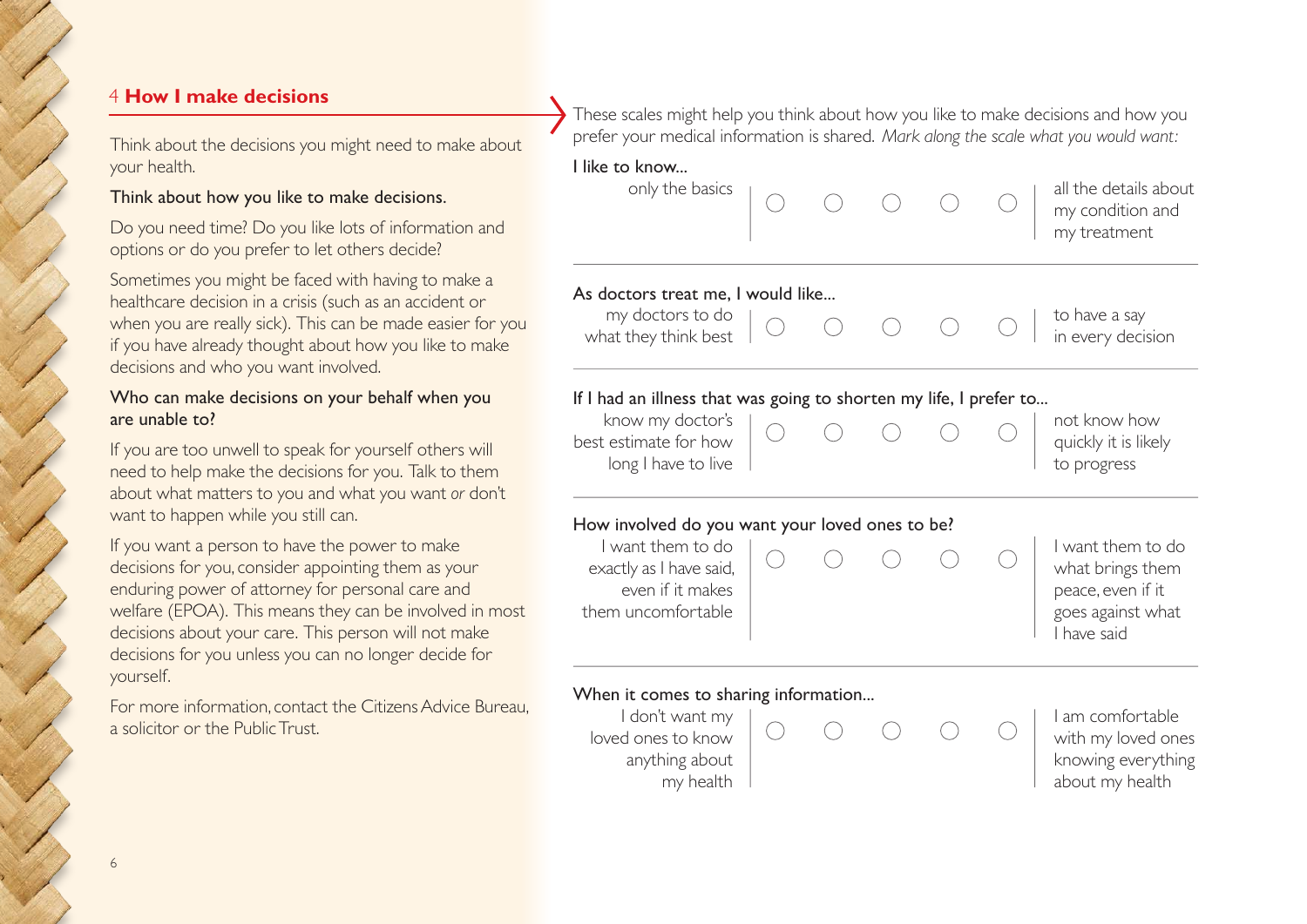# 4 **How I make decisions**

Think about the decisions you might need to make about your health.

#### Think about how you like to make decisions.

Do you need time? Do you like lots of information and options or do you prefer to let others decide?

Sometimes you might be faced with having to make a healthcare decision in a crisis (such as an accident or when you are really sick). This can be made easier for you if you have already thought about how you like to make decisions and who you want involved.

#### Who can make decisions on your behalf when you are unable to?

If you are too unwell to speak for yourself others will need to help make the decisions for you. Talk to them about what matters to you and what you want *or* don't want to happen while you still can.

If you want a person to have the power to make decisions for you, consider appointing them as your enduring power of attorney for personal care and welfare (EPOA). This means they can be involved in most decisions about your care. This person will not make decisions for you unless you can no longer decide for yourself.

For more information, contact the Citizens Advice Bureau, a solicitor or the Public Trust.

These scales might help you think about how you like to make decisions and how you prefer your medical information is shared. *Mark along the scale what you would want:*

# I like to know... only the basics  $\overline{a}$  all the details about my condition and my treatment As doctors treat me, I would like... my doctors to do  $\sim$  0 0 0 0  $\sim$  1 to have a say what they think best  $\begin{array}{ccc} & \vee & \vee & \vee & \vee & \vdots \\ \end{array}$  in every decision If I had an illness that was going to shorten my life, I prefer to... know my doctor's  $\begin{array}{ccc} \hline \end{array}$   $\begin{array}{ccc} \hline \end{array}$   $\begin{array}{ccc} \hline \end{array}$   $\begin{array}{ccc} \hline \end{array}$   $\begin{array}{ccc} \hline \end{array}$   $\begin{array}{ccc} \hline \end{array}$   $\begin{array}{ccc} \hline \end{array}$   $\begin{array}{ccc} \hline \end{array}$   $\begin{array}{ccc} \hline \end{array}$   $\begin{array}{ccc} \hline \end{array}$   $\begin{array}{ccc} \hline \end{array}$   $\begin{array}{$ best estimate for how  $\begin{pmatrix} 0 & 0 & 0 \\ 0 & 0 & 0 \\ 0 & 0 & 0 \end{pmatrix}$  quickly it is likely long I have to live the state of the progress of the progress How involved do you want your loved ones to be? I want them to do  $\sim$  and  $\sim$  and  $\sim$  and  $\sim$  in I want them to do exactly as I have said,  $\begin{array}{ccc} \circ & \circ & \circ \\ \circ & \circ & \circ \end{array}$  what brings them even if it makes peace, even if it them uncomfortable  $\parallel$  and  $\parallel$  goes against what I have said When it comes to sharing information... I don't want my I am comfortable loved ones to know  $\begin{pmatrix} 0 & 0 & 0 \\ 0 & 0 & 0 \\ 0 & 0 & 0 \end{pmatrix}$  with my loved ones anything about knowing everything my health about my health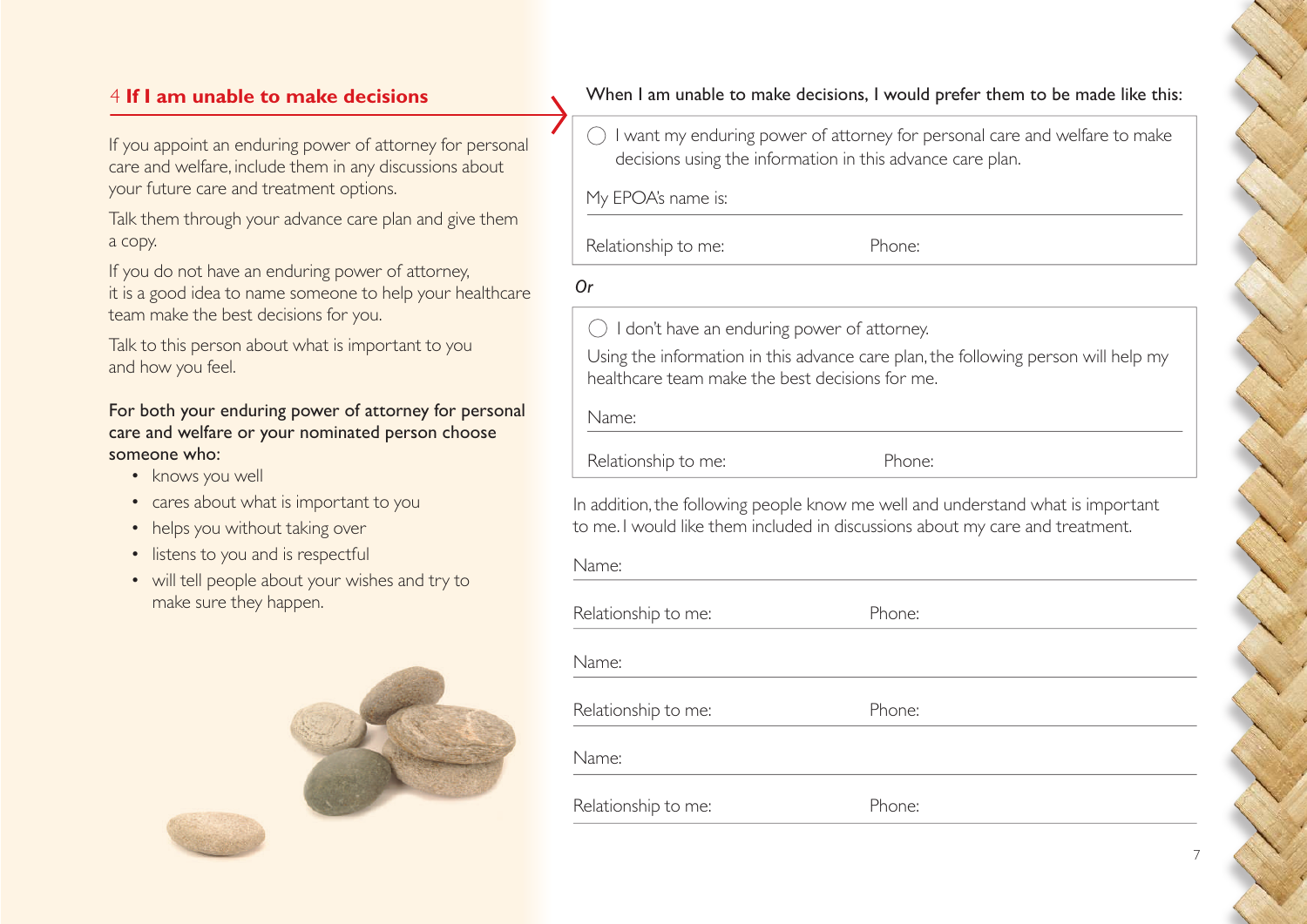# 4 **If I am unable to make decisions**

If you appoint an enduring power of attorney for personal care and welfare, include them in any discussions about your future care and treatment options.

Talk them through your advance care plan and give them a copy.

If you do not have an enduring power of attorney, it is a good idea to name someone to help your healthcare team make the best decisions for you.

Talk to this person about what is important to you and how you feel.

### For both your enduring power of attorney for personal care and welfare or your nominated person choose someone who:

- knows you well
- cares about what is important to you
- helps you without taking over
- listens to you and is respectful
- will tell people about your wishes and try to make sure they happen.



When I am unable to make decisions, I would prefer them to be made like this:

 $\bigcirc$  I want my enduring power of attorney for personal care and welfare to make decisions using the information in this advance care plan.

My EPOA's name is:

Relationship to me: Phone:

*Or* 

 $\bigcirc$  I don't have an enduring power of attorney.

Using the information in this advance care plan, the following person will help my healthcare team make the best decisions for me.

Name: Relationship to me: Phone:

In addition, the following people know me well and understand what is important to me. I would like them included in discussions about my care and treatment.

| Name:               |        |
|---------------------|--------|
| Relationship to me: | Phone: |
| Name:               |        |
| Relationship to me: | Phone: |
| Name:               |        |
| Relationship to me: | Phone: |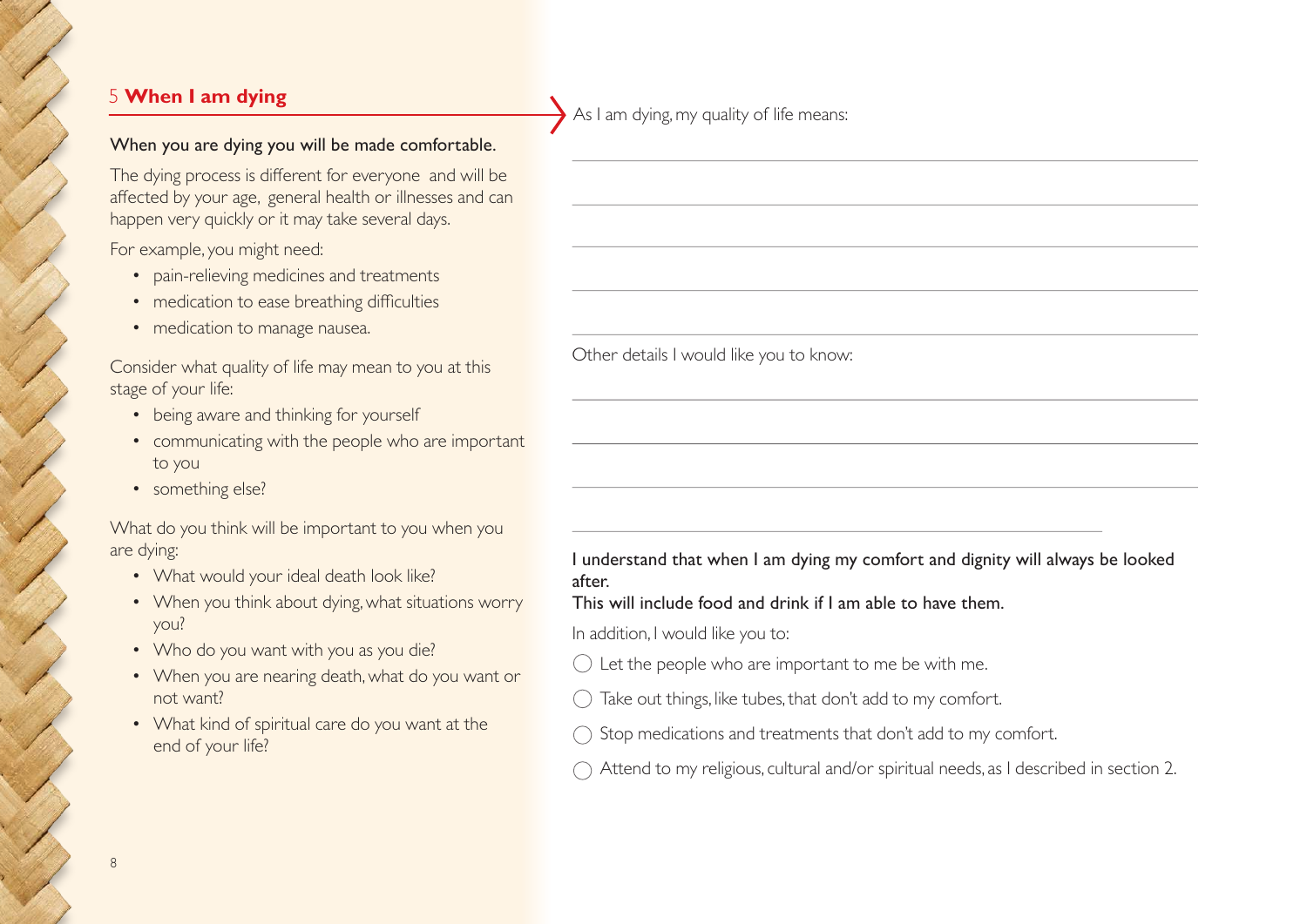# 5 **When I am dying**

When you are dying you will be made comfortable.

The dying process is diferent for everyone and will be afected by your age, general health or illnesses and can happen very quickly or it may take several days.

For example, you might need:

- pain-relieving medicines and treatments
- medication to ease breathing difficulties
- medication to manage nausea.

Consider what quality of life may mean to you at this stage of your life:

- being aware and thinking for yourself
- communicating with the people who are important to you
- something else?

What do you think will be important to you when you are dying:

- What would your ideal death look like?
- When you think about dying, what situations worry you?
- Who do you want with you as you die?
- When you are nearing death, what do you want or not want?
- What kind of spiritual care do you want at the end of your life?

As I am dying, my quality of life means:

Other details I would like you to know:

I understand that when I am dying my comfort and dignity will always be looked after.

This will include food and drink if I am able to have them.

In addition, I would like you to:

- Let the people who are important to me be with me.
- Take out things, like tubes, that don't add to my comfort.
- Stop medications and treatments that don't add to my comfort.
- $\bigcirc$  Attend to my religious, cultural and/or spiritual needs, as I described in section 2.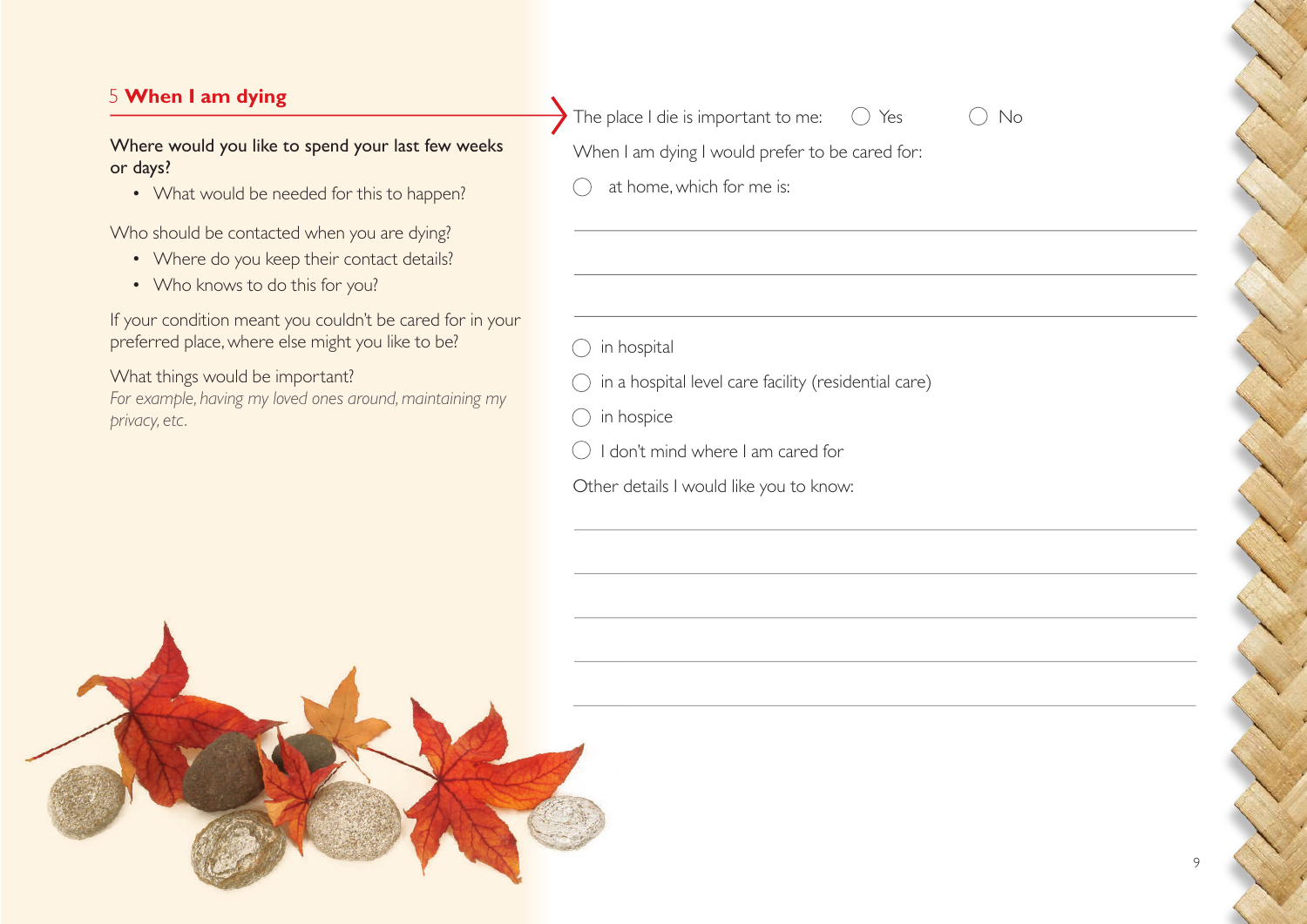# 5 **When I am dying**

#### Where would you like to spend your last few weeks or days?

• What would be needed for this to happen?

Who should be contacted when you are dying?

- Where do you keep their contact details?
- Who knows to do this for you?

If your condition meant you couldn't be cared for in your preferred place, where else might you like to be?

What things would be important? *For example, having my loved ones around, maintaining my privacy, etc.*

The place I die is important to me:  $\bigcirc$  Yes  $\bigcirc$  No

When I am dying I would prefer to be cared for:

at home, which for me is:

- $\bigcap$  in hospital
- $\bigcirc$  in a hospital level care facility (residential care)
- $\bigcap$  in hospice
- $\bigcirc$  I don't mind where I am cared for
- Other details I would like you to know: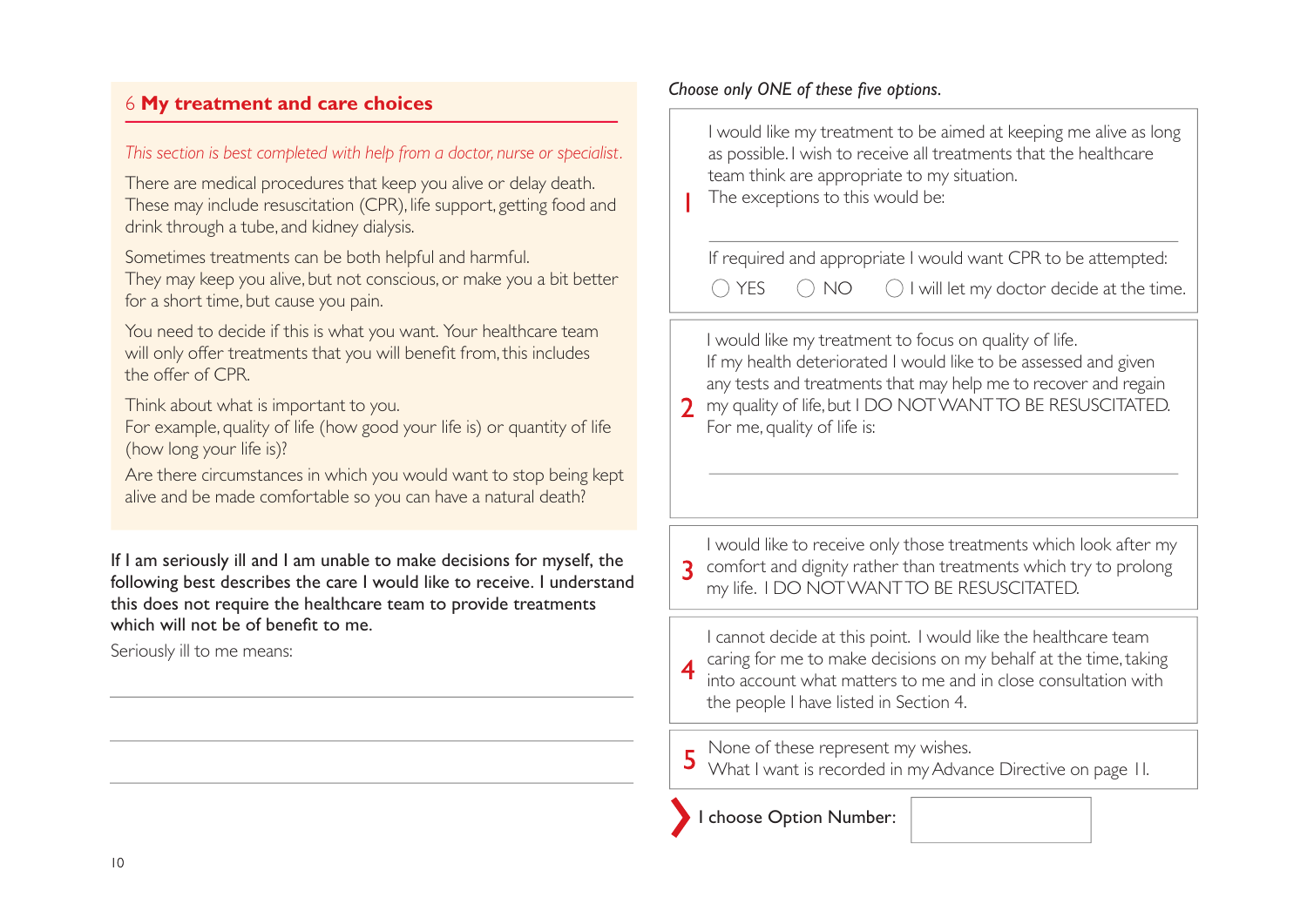# 6 **My treatment and care choices**

#### *This section is best completed with help from a doctor, nurse or specialist.*

There are medical procedures that keep you alive or delay death. These may include resuscitation (CPR), life support, getting food and drink through a tube, and kidney dialysis.

Sometimes treatments can be both helpful and harmful.

They may keep you alive, but not conscious, or make you a bit better for a short time, but cause you pain.

You need to decide if this is what you want. Your healthcare team will only offer treatments that you will benefit from, this includes the offer of CPR

Think about what is important to you.

For example, quality of life (how good your life is) or quantity of life (how long your life is)?

Are there circumstances in which you would want to stop being kept alive and be made comfortable so you can have a natural death?

If I am seriously ill and I am unable to make decisions for myself, the following best describes the care I would like to receive. I understand this does not require the healthcare team to provide treatments which will not be of benefit to me.

Seriously ill to me means:

#### *Choose only ONE of these five options.*



 $\bigcap$  YES  $\bigcap$  NO  $\bigcap$  I will let my doctor decide at the time.

I would like my treatment to focus on quality of life. If my health deteriorated I would like to be assessed and given any tests and treatments that may help me to recover and regain **7** my quality of life, but I DO NOT WANT TO BE RESUSCITATED. For me, quality of life is:

I would like to receive only those treatments which look after my **3** comfort and dignity rather than treatments which try to prolong my life. I DO NOT WANT TO BE RESUSCITATED.

I cannot decide at this point. I would like the healthcare team caring for me to make decisions on my behalf at the time, taking into account what matters to me and in close consultation with the people I have listed in Section 4.

None of these represent my wishes. What I want is recorded in my Advance Directive on page 11.

choose Option Number: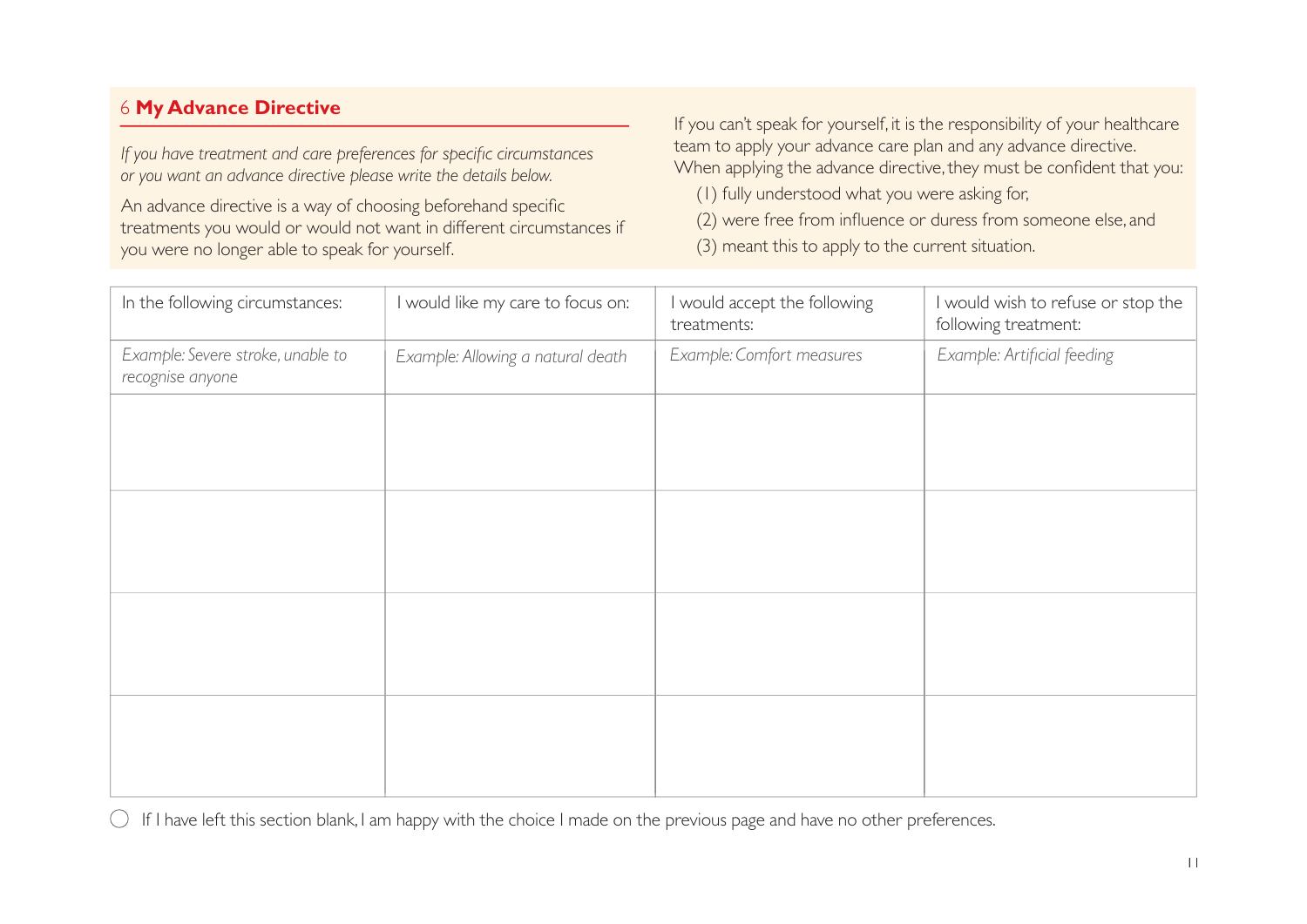# 6 **My Advance Directive**

*If you have treatment and care preferences for specific circumstances or you want an advance directive please write the details below.*

An advance directive is a way of choosing beforehand specific treatments you would or would not want in diferent circumstances if you were no longer able to speak for yourself.

If you can't speak for yourself, it is the responsibility of your healthcare team to apply your advance care plan and any advance directive. When applying the advance directive, they must be confident that you:

(1) fully understood what you were asking for,

(2) were free from influence or duress from someone else, and

(3) meant this to apply to the current situation.

| In the following circumstances:                       | I would like my care to focus on: | I would accept the following<br>treatments: | I would wish to refuse or stop the<br>following treatment: |
|-------------------------------------------------------|-----------------------------------|---------------------------------------------|------------------------------------------------------------|
| Example: Severe stroke, unable to<br>recognise anyone | Example: Allowing a natural death | Example: Comfort measures                   | Example: Artificial feeding                                |
|                                                       |                                   |                                             |                                                            |
|                                                       |                                   |                                             |                                                            |
|                                                       |                                   |                                             |                                                            |
|                                                       |                                   |                                             |                                                            |
|                                                       |                                   |                                             |                                                            |
|                                                       |                                   |                                             |                                                            |
|                                                       |                                   |                                             |                                                            |
|                                                       |                                   |                                             |                                                            |

 $\bigcirc$  If I have left this section blank, I am happy with the choice I made on the previous page and have no other preferences.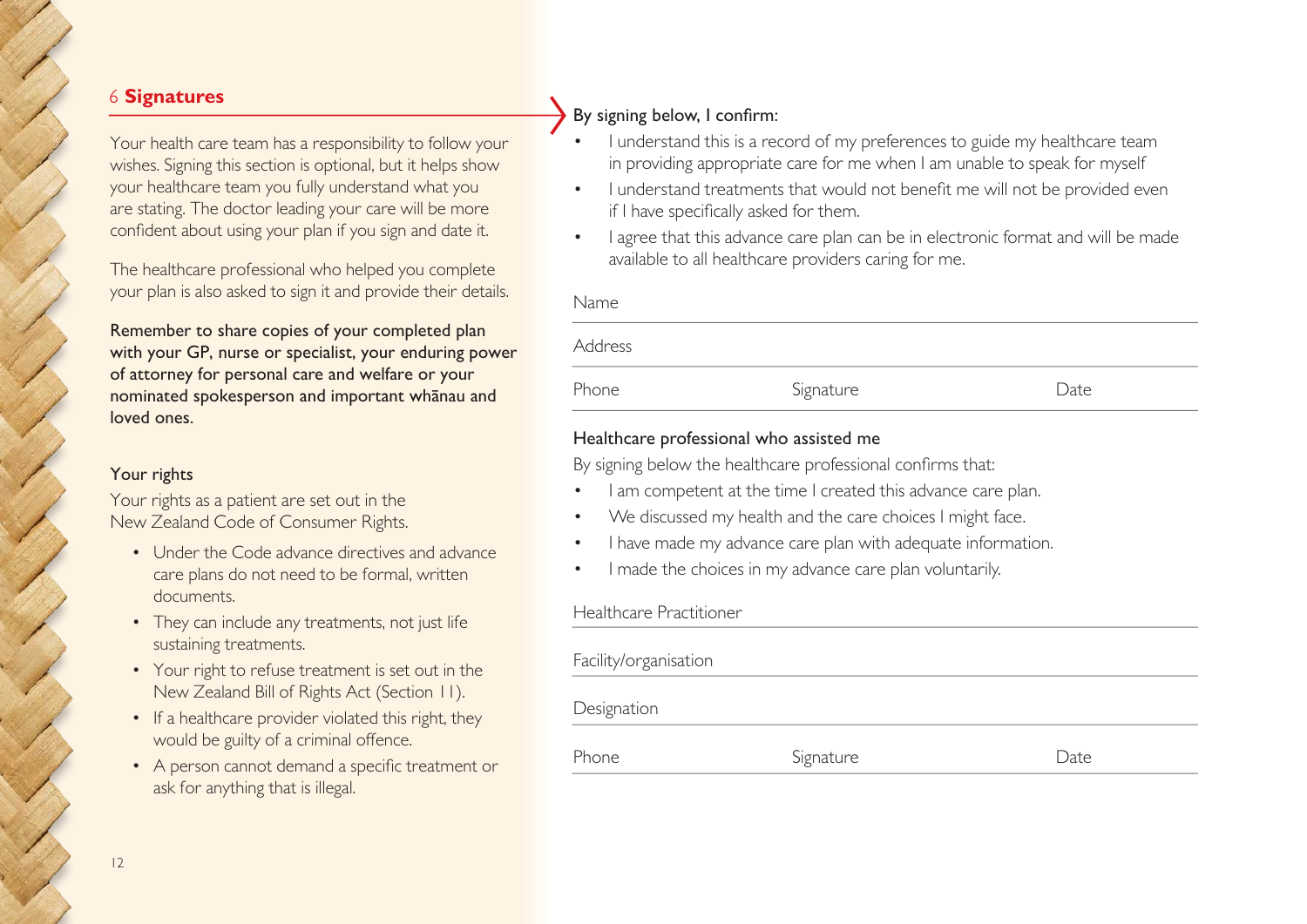#### 6 **Signatures**

Your health care team has a responsibility to follow your wishes. Signing this section is optional, but it helps show your healthcare team you fully understand what you are stating. The doctor leading your care will be more confident about using your plan if you sign and date it.

The healthcare professional who helped you complete your plan is also asked to sign it and provide their details.

Remember to share copies of your completed plan with your GP, nurse or specialist, your enduring power of attorney for personal care and welfare or your nominated spokesperson and important whānau and loved ones.

#### Your rights

Your rights as a patient are set out in the New Zealand Code of Consumer Rights.

- Under the Code advance directives and advance care plans do not need to be formal, written documents.
- They can include any treatments, not just life sustaining treatments.
- Your right to refuse treatment is set out in the New Zealand Bill of Rights Act (Section 11).
- If a healthcare provider violated this right, they would be guilty of a criminal offence.
- A person cannot demand a specific treatment or ask for anything that is illegal.

# By signing below, I confirm:

- I understand this is a record of my preferences to guide my healthcare team in providing appropriate care for me when I am unable to speak for myself
- I understand treatments that would not benefit me will not be provided even if I have specifically asked for them.
- I agree that this advance care plan can be in electronic format and will be made available to all healthcare providers caring for me.

|  | ×<br>. .<br>×<br>۰, |
|--|---------------------|
|--|---------------------|

| .       |           |      |
|---------|-----------|------|
| Address |           |      |
| Phone   | Signature | Date |

#### Healthcare professional who assisted me

By signing below the healthcare professional confirms that:

- I am competent at the time I created this advance care plan.
- We discussed my health and the care choices I might face.
- I have made my advance care plan with adequate information.
- I made the choices in my advance care plan voluntarily.

#### Healthcare Practitioner

| Facility/organisation |           |      |
|-----------------------|-----------|------|
| Designation           |           |      |
| Phone                 | Signature | Date |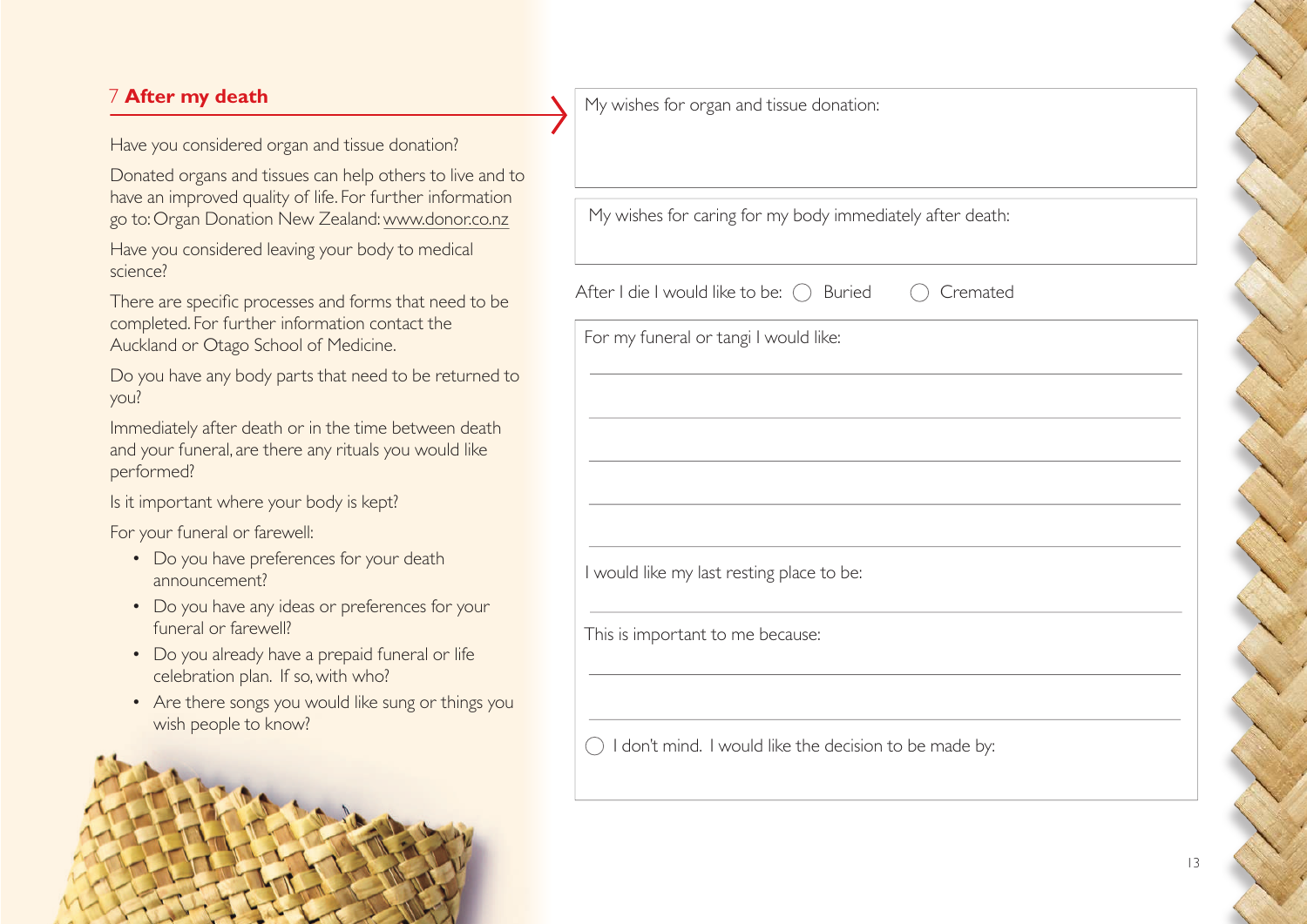# 7 **After my death**

Have you considered organ and tissue donation?

Donated organs and tissues can help others to live and to have an improved quality of life. For further information go to: Organ Donation New Zealand: www.donor.co.nz

Have you considered leaving your body to medical science?

There are specific processes and forms that need to be completed. For further information contact the Auckland or Otago School of Medicine.

Do you have any body parts that need to be returned to you?

Immediately after death or in the time between death and your funeral, are there any rituals you would like performed?

Is it important where your body is kept?

For your funeral or farewell:

- Do you have preferences for your death announcement?
- Do you have any ideas or preferences for your funeral or farewell?
- Do you already have a prepaid funeral or life celebration plan. If so, with who?
- Are there songs you would like sung or things you wish people to know?



My wishes for organ and tissue donation:

My wishes for caring for my body immediately after death:

After I die I would like to be:  $\bigcirc$  Buried  $\bigcirc$  Cremated

For my funeral or tangi I would like:

I would like my last resting place to be:

This is important to me because:

 $\bigcap$  I don't mind. I would like the decision to be made by: